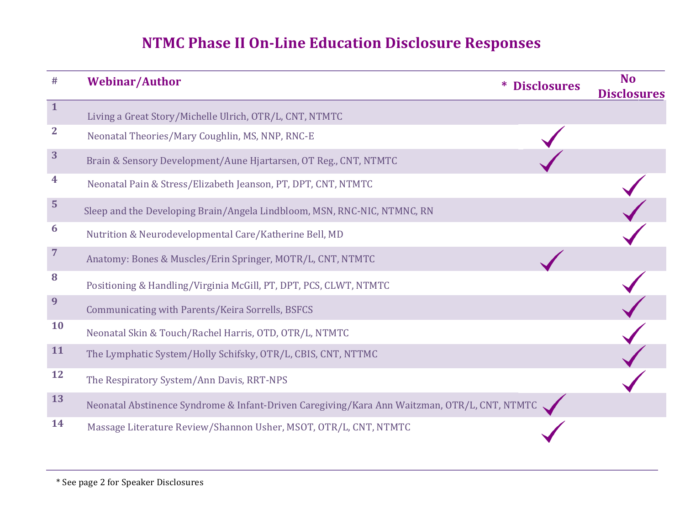# **NTMC Phase II On-Line Education Disclosure Responses**

| #              | <b>Webinar/Author</b>                                                                        | <b>Disclosures</b> | <b>No</b><br><b>Disclosures</b> |
|----------------|----------------------------------------------------------------------------------------------|--------------------|---------------------------------|
| $\mathbf{1}$   | Living a Great Story/Michelle Ulrich, OTR/L, CNT, NTMTC                                      |                    |                                 |
| $\mathbf{2}$   | Neonatal Theories/Mary Coughlin, MS, NNP, RNC-E                                              |                    |                                 |
| 3              | Brain & Sensory Development/Aune Hjartarsen, OT Reg., CNT, NTMTC                             |                    |                                 |
| 4              | Neonatal Pain & Stress/Elizabeth Jeanson, PT, DPT, CNT, NTMTC                                |                    |                                 |
| 5              | Sleep and the Developing Brain/Angela Lindbloom, MSN, RNC-NIC, NTMNC, RN                     |                    |                                 |
| 6              | Nutrition & Neurodevelopmental Care/Katherine Bell, MD                                       |                    |                                 |
| $\overline{7}$ | Anatomy: Bones & Muscles/Erin Springer, MOTR/L, CNT, NTMTC                                   |                    |                                 |
| 8              | Positioning & Handling/Virginia McGill, PT, DPT, PCS, CLWT, NTMTC                            |                    |                                 |
| 9              | Communicating with Parents/Keira Sorrells, BSFCS                                             |                    |                                 |
| <b>10</b>      | Neonatal Skin & Touch/Rachel Harris, OTD, OTR/L, NTMTC                                       |                    |                                 |
| <b>11</b>      | The Lymphatic System/Holly Schifsky, OTR/L, CBIS, CNT, NTTMC                                 |                    |                                 |
| <b>12</b>      | The Respiratory System/Ann Davis, RRT-NPS                                                    |                    |                                 |
| 13             | Neonatal Abstinence Syndrome & Infant-Driven Caregiving/Kara Ann Waitzman, OTR/L, CNT, NTMTC |                    |                                 |
| 14             | Massage Literature Review/Shannon Usher, MSOT, OTR/L, CNT, NTMTC                             |                    |                                 |

\* See page 2 for Speaker Disclosures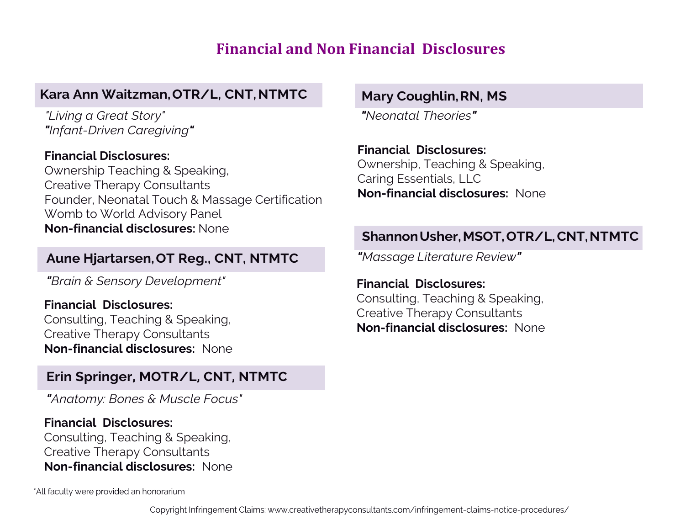# **Financial and Non Financial Disclosures**

## **Kara Ann Waitzman, OTR/L, CNT,NTMTC**

*"Living a Great Story" "Infant-Driven Caregiving"*

#### **Financial Disclosures:**

Ownership Teaching & Speaking, Creative Therapy Consultants Founder, Neonatal Touch & Massage Certification Womb to World Advisory Panel **Non-financial disclosures:** None

#### **Aune Hjartarsen, OT Reg., CNT, NTMTC**

*"Brain & Sensory Development"*

#### **Financial Disclosures:** Consulting, Teaching & Speaking, Creative Therapy Consultants **Non-financial disclosures:** None

### **Erin Springer, MOTR/L, CNT, NTMTC**

*"Anatomy: Bones & Muscle Focus"*

#### **Financial Disclosures:** Consulting, Teaching & Speaking, Creative Therapy Consultants **Non-financial disclosures:** None

\*All faculty were provided an honorarium

## **Mary Coughlin, RN, MS**

*"Neonatal Theories"*

#### **Financial Disclosures:**

Ownership, Teaching & Speaking, Caring Essentials, LLC **Non-financial disclosures:** None

## **ShannonUsher,MSOT, OTR/L,CNT, NTMTC**

*"Massage Literature Review"*

**Financial Disclosures:** Consulting, Teaching & Speaking, Creative Therapy Consultants **Non-financial disclosures:** None

Copyright Infringement Claims: <www.creativetherapyconsultants.com/infringement-claims-notice-procedures/>